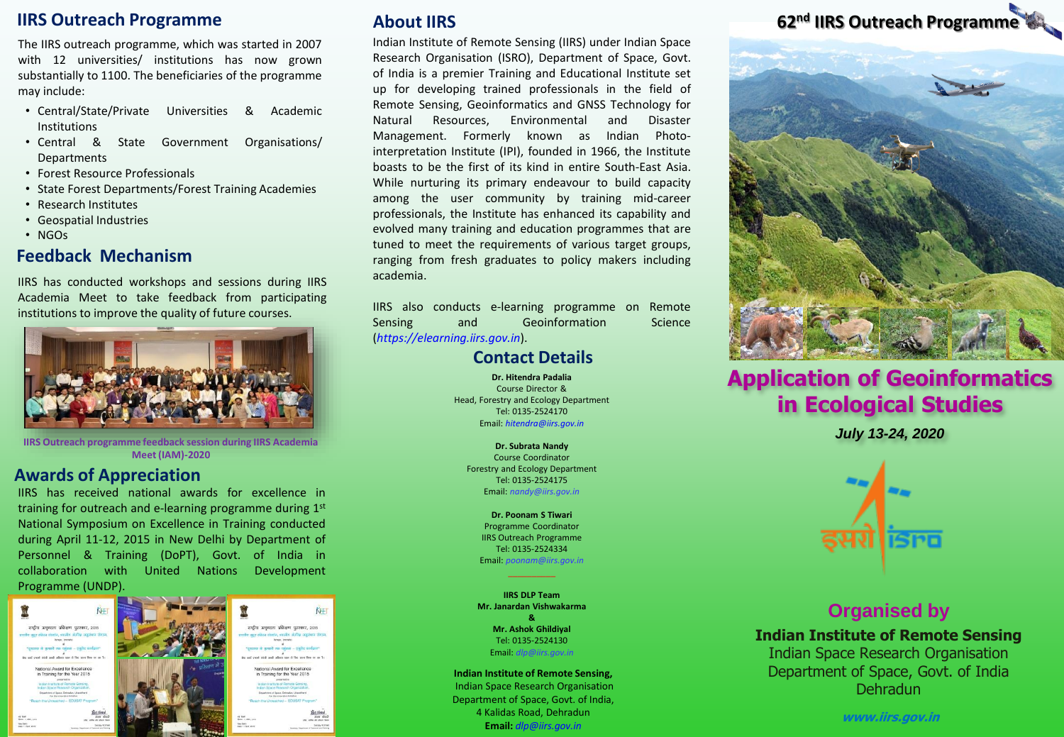## **IIRS Outreach Programme**

The IIRS outreach programme, which was started in 2007 with 12 universities/ institutions has now grown substantially to 1100. The beneficiaries of the programme may include:

- Central/State/Private Universities & Academic Institutions
- Central & State Government Organisations/ Departments
- Forest Resource Professionals
- State Forest Departments/Forest Training Academies
- Research Institutes
- Geospatial Industries
- NGOs

## **Feedback Mechanism**

IIRS has conducted workshops and sessions during IIRS Academia Meet to take feedback from participating institutions to improve the quality of future courses.



**IIRS Outreach programme feedback session during IIRS Academia Meet (IAM)-2020**

## **Awards of Appreciation**

IIRS has received national awards for excellence in training for outreach and e-learning programme during 1st National Symposium on Excellence in Training conducted during April 11-12, 2015 in New Delhi by Department of Personnel & Training (DoPT), Govt. of India in collaboration with United Nations Development Programme (UNDP).

KÆT



## **About IIRS**

Indian Institute of Remote Sensing (IIRS) under Indian Space Research Organisation (ISRO), Department of Space, Govt. of India is a premier Training and Educational Institute set up for developing trained professionals in the field of Remote Sensing, Geoinformatics and GNSS Technology for Natural Resources, Environmental and Disaster Management. Formerly known as Indian Photointerpretation Institute (IPI), founded in 1966, the Institute boasts to be the first of its kind in entire South-East Asia. While nurturing its primary endeavour to build capacity among the user community by training mid-career professionals, the Institute has enhanced its capability and evolved many training and education programmes that are tuned to meet the requirements of various target groups, ranging from fresh graduates to policy makers including academia.

IIRS also conducts e-learning programme on Remote Sensing and Geoinformation Science (*https://elearning.iirs.gov.in*).

## **Contact Details**

**Dr. Hitendra Padalia** Course Director & Head, Forestry and Ecology Department Tel: 0135-2524170 Email: *hitendra@iirs.gov.in*

**Dr. Subrata Nandy** Course Coordinator Forestry and Ecology Department Tel: 0135-2524175 Email: *nandy@iirs.gov.in*

> **Dr. Poonam S Tiwari** Programme Coordinator IIRS Outreach Programme Tel: 0135-2524334 Email: *poonam@iirs.gov.in*

**IIRS DLP Team Mr. Janardan Vishwakarma & Mr. Ashok Ghildiyal** Tel: 0135-2524130 Email: *dlp@iirs.gov.in*

**Indian Institute of Remote Sensing,** Indian Space Research Organisation Department of Space, Govt. of India, 4 Kalidas Road, Dehradun **Email:** *dlp@iirs.gov.in*

## **62nd IIRS Outreach Programme**



# **Application of Geoinformatics in Ecological Studies**

*July 13-24, 2020*



## **Organised by**

**Indian Institute of Remote Sensing**

Indian Space Research Organisation Department of Space, Govt. of India Dehradun

**www.iirs.gov.in**